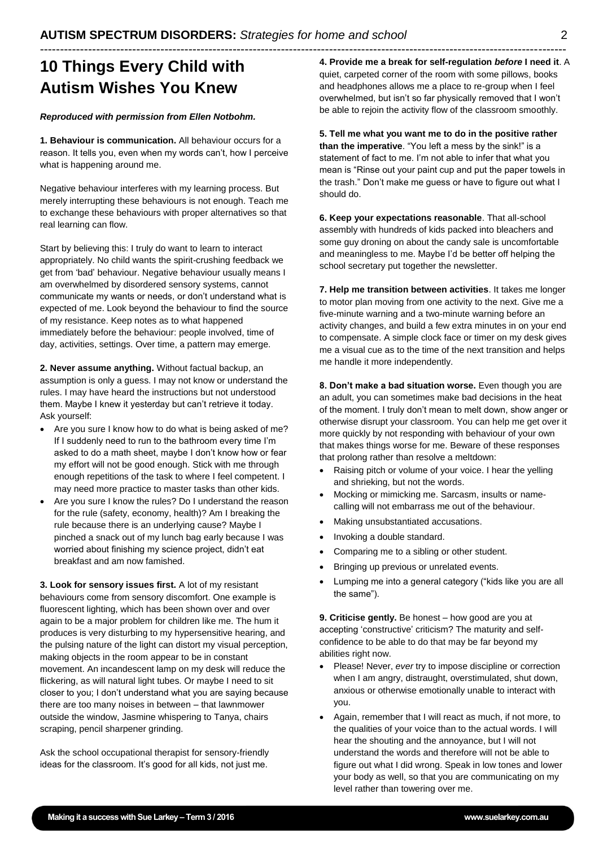## ----------------------------------------------------------------------------------------------------------------------------------- **10 Things Every Child with Autism Wishes You Knew**

#### *Reproduced with permission from Ellen Notbohm.*

**1. Behaviour is communication.** All behaviour occurs for a reason. It tells you, even when my words can't, how I perceive what is happening around me.

Negative behaviour interferes with my learning process. But merely interrupting these behaviours is not enough. Teach me to exchange these behaviours with proper alternatives so that real learning can flow.

Start by believing this: I truly do want to learn to interact appropriately. No child wants the spirit-crushing feedback we get from 'bad' behaviour. Negative behaviour usually means I am overwhelmed by disordered sensory systems, cannot communicate my wants or needs, or don't understand what is expected of me. Look beyond the behaviour to find the source of my resistance. Keep notes as to what happened immediately before the behaviour: people involved, time of day, activities, settings. Over time, a pattern may emerge.

**2. Never assume anything.** Without factual backup, an assumption is only a guess. I may not know or understand the rules. I may have heard the instructions but not understood them. Maybe I knew it yesterday but can't retrieve it today. Ask yourself:

- Are you sure I know how to do what is being asked of me? If I suddenly need to run to the bathroom every time I'm asked to do a math sheet, maybe I don't know how or fear my effort will not be good enough. Stick with me through enough repetitions of the task to where I feel competent. I may need more practice to master tasks than other kids.
- Are you sure I know the rules? Do I understand the reason for the rule (safety, economy, health)? Am I breaking the rule because there is an underlying cause? Maybe I pinched a snack out of my lunch bag early because I was worried about finishing my science project, didn't eat breakfast and am now famished.

**3. Look for sensory issues first.** A lot of my resistant behaviours come from sensory discomfort. One example is fluorescent lighting, which has been shown over and over again to be a major problem for children like me. The hum it produces is very disturbing to my hypersensitive hearing, and the pulsing nature of the light can distort my visual perception, making objects in the room appear to be in constant movement. An incandescent lamp on my desk will reduce the flickering, as will natural light tubes. Or maybe I need to sit closer to you; I don't understand what you are saying because there are too many noises in between – that lawnmower outside the window, Jasmine whispering to Tanya, chairs scraping, pencil sharpener grinding.

Ask the school occupational therapist for sensory-friendly ideas for the classroom. It's good for all kids, not just me.

**4. Provide me a break for self-regulation** *before* **I need it**. A quiet, carpeted corner of the room with some pillows, books and headphones allows me a place to re-group when I feel overwhelmed, but isn't so far physically removed that I won't be able to rejoin the activity flow of the classroom smoothly.

**5. Tell me what you want me to do in the positive rather than the imperative**. "You left a mess by the sink!" is a statement of fact to me. I'm not able to infer that what you mean is "Rinse out your paint cup and put the paper towels in the trash." Don't make me guess or have to figure out what I should do.

**6. Keep your expectations reasonable**. That all-school assembly with hundreds of kids packed into bleachers and some guy droning on about the candy sale is uncomfortable and meaningless to me. Maybe I'd be better off helping the school secretary put together the newsletter.

**7. Help me transition between activities**. It takes me longer to motor plan moving from one activity to the next. Give me a five-minute warning and a two-minute warning before an activity changes, and build a few extra minutes in on your end to compensate. A simple clock face or timer on my desk gives me a visual cue as to the time of the next transition and helps me handle it more independently.

**8. Don't make a bad situation worse.** Even though you are an adult, you can sometimes make bad decisions in the heat of the moment. I truly don't mean to melt down, show anger or otherwise disrupt your classroom. You can help me get over it more quickly by not responding with behaviour of your own that makes things worse for me. Beware of these responses that prolong rather than resolve a meltdown:

- Raising pitch or volume of your voice. I hear the yelling and shrieking, but not the words.
- Mocking or mimicking me. Sarcasm, insults or namecalling will not embarrass me out of the behaviour.
- Making unsubstantiated accusations.
- Invoking a double standard.
- Comparing me to a sibling or other student.
- Bringing up previous or unrelated events.
- Lumping me into a general category ("kids like you are all the same").

**9. Criticise gently.** Be honest – how good are you at accepting 'constructive' criticism? The maturity and selfconfidence to be able to do that may be far beyond my abilities right now.

- Please! Never, *ever* try to impose discipline or correction when I am angry, distraught, overstimulated, shut down, anxious or otherwise emotionally unable to interact with you.
- Again, remember that I will react as much, if not more, to the qualities of your voice than to the actual words. I will hear the shouting and the annoyance, but I will not understand the words and therefore will not be able to figure out what I did wrong. Speak in low tones and lower your body as well, so that you are communicating on my level rather than towering over me.